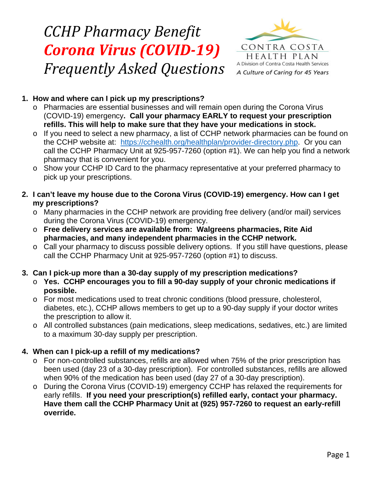# *CCHP Pharmacy Benefit Corona Virus (COVID-19) Frequently Asked Questions*



### **1. How and where can I pick up my prescriptions?**

- o Pharmacies are essential businesses and will remain open during the Corona Virus (COVID-19) emergency**. Call your pharmacy EARLY to request your prescription refills. This will help to make sure that they have your medications in stock.**
- o If you need to select a new pharmacy, a list of CCHP network pharmacies can be found on the CCHP website at: [https://cchealth.org/healthplan/provider-directory.php.](https://cchealth.org/healthplan/provider-directory.php) Or you can call the CCHP Pharmacy Unit at 925-957-7260 (option #1). We can help you find a network pharmacy that is convenient for you.
- o Show your CCHP ID Card to the pharmacy representative at your preferred pharmacy to pick up your prescriptions.
- **2. I can't leave my house due to the Corona Virus (COVID-19) emergency. How can I get my prescriptions?**
	- o Many pharmacies in the CCHP network are providing free delivery (and/or mail) services during the Corona Virus (COVID-19) emergency.
	- o **Free delivery services are available from: Walgreens pharmacies, Rite Aid pharmacies, and many independent pharmacies in the CCHP network.**
	- o Call your pharmacy to discuss possible delivery options. If you still have questions, please call the CCHP Pharmacy Unit at 925-957-7260 (option #1) to discuss.

#### **3. Can I pick-up more than a 30-day supply of my prescription medications?**

- o **Yes. CCHP encourages you to fill a 90-day supply of your chronic medications if possible.**
- o For most medications used to treat chronic conditions (blood pressure, cholesterol, diabetes, etc.), CCHP allows members to get up to a 90-day supply if your doctor writes the prescription to allow it.
- o All controlled substances (pain medications, sleep medications, sedatives, etc.) are limited to a maximum 30-day supply per prescription.

## **4. When can I pick-up a refill of my medications?**

- o For non-controlled substances, refills are allowed when 75% of the prior prescription has been used (day 23 of a 30-day prescription). For controlled substances, refills are allowed when 90% of the medication has been used (day 27 of a 30-day prescription).
- o During the Corona Virus (COVID-19) emergency CCHP has relaxed the requirements for early refills. **If you need your prescription(s) refilled early, contact your pharmacy. Have them call the CCHP Pharmacy Unit at (925) 957-7260 to request an early-refill override.**